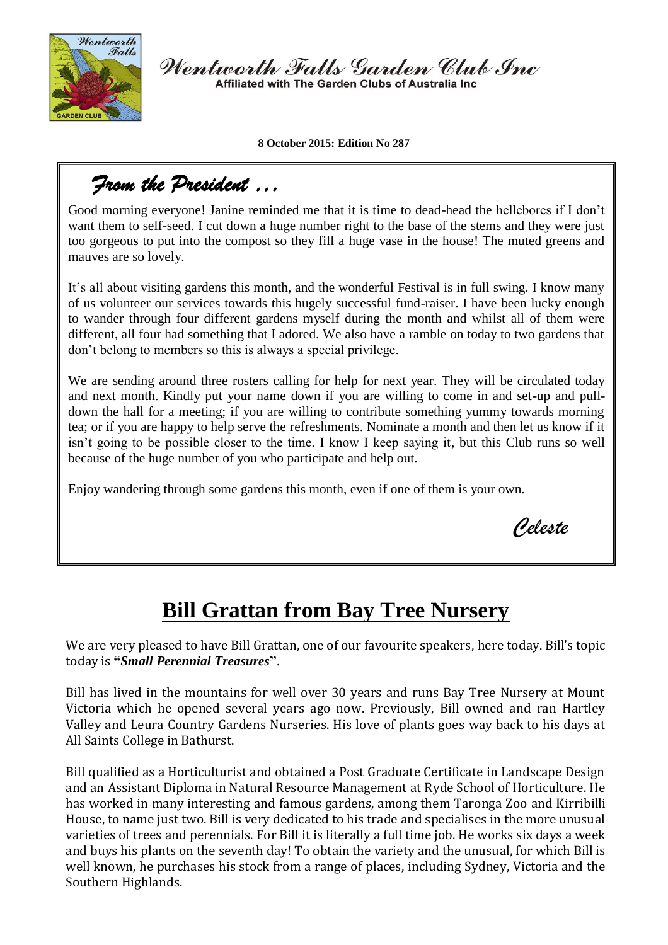

Wentworth Falls Garden Club Inc Affiliated with The Garden Clubs of Australia Inc.

**8 October 2015: Edition No 287**

## *From the President …*

Good morning everyone! Janine reminded me that it is time to dead-head the hellebores if I don't want them to self-seed. I cut down a huge number right to the base of the stems and they were just too gorgeous to put into the compost so they fill a huge vase in the house! The muted greens and mauves are so lovely.

It's all about visiting gardens this month, and the wonderful Festival is in full swing. I know many of us volunteer our services towards this hugely successful fund-raiser. I have been lucky enough to wander through four different gardens myself during the month and whilst all of them were different, all four had something that I adored. We also have a ramble on today to two gardens that don't belong to members so this is always a special privilege.

We are sending around three rosters calling for help for next year. They will be circulated today and next month. Kindly put your name down if you are willing to come in and set-up and pulldown the hall for a meeting; if you are willing to contribute something yummy towards morning tea; or if you are happy to help serve the refreshments. Nominate a month and then let us know if it isn't going to be possible closer to the time. I know I keep saying it, but this Club runs so well because of the huge number of you who participate and help out.

Enjoy wandering through some gardens this month, even if one of them is your own.

*Celeste*

## **Bill Grattan from Bay Tree Nursery**

We are very pleased to have Bill Grattan, one of our favourite speakers, here today. Bill's topic today is **"***Small Perennial Treasures***"**.

Bill has lived in the mountains for well over 30 years and runs Bay Tree Nursery at Mount Victoria which he opened several years ago now. Previously, Bill owned and ran Hartley Valley and Leura Country Gardens Nurseries. His love of plants goes way back to his days at All Saints College in Bathurst.

Bill qualified as a Horticulturist and obtained a Post Graduate Certificate in Landscape Design and an Assistant Diploma in Natural Resource Management at Ryde School of Horticulture. He has worked in many interesting and famous gardens, among them Taronga Zoo and Kirribilli House, to name just two. Bill is very dedicated to his trade and specialises in the more unusual varieties of trees and perennials. For Bill it is literally a full time job. He works six days a week and buys his plants on the seventh day! To obtain the variety and the unusual, for which Bill is well known, he purchases his stock from a range of places, including Sydney, Victoria and the Southern Highlands.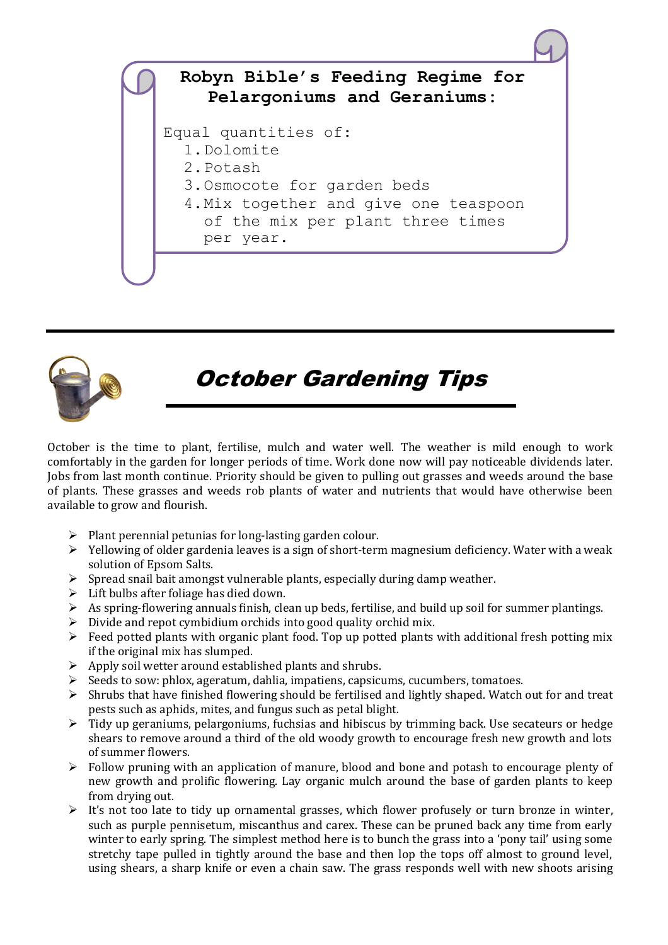



# October Gardening Tips

October is the time to plant, fertilise, mulch and water well. The weather is mild enough to work comfortably in the garden for longer periods of time. Work done now will pay noticeable dividends later. Jobs from last month continue. Priority should be given to pulling out grasses and weeds around the base of plants. These grasses and weeds rob plants of water and nutrients that would have otherwise been available to grow and flourish.

- $\triangleright$  Plant perennial petunias for long-lasting garden colour.
- $\triangleright$  Yellowing of older gardenia leaves is a sign of short-term magnesium deficiency. Water with a weak solution of Epsom Salts.
- $\triangleright$  Spread snail bait amongst vulnerable plants, especially during damp weather.
- $\triangleright$  Lift bulbs after foliage has died down.
- $\triangleright$  As spring-flowering annuals finish, clean up beds, fertilise, and build up soil for summer plantings.
- $\triangleright$  Divide and repot cymbidium orchids into good quality orchid mix.
- $\triangleright$  Feed potted plants with organic plant food. Top up potted plants with additional fresh potting mix if the original mix has slumped.
- $\triangleright$  Apply soil wetter around established plants and shrubs.
- $\triangleright$  Seeds to sow: phlox, ageratum, dahlia, impatiens, capsicums, cucumbers, tomatoes.
- $\triangleright$  Shrubs that have finished flowering should be fertilised and lightly shaped. Watch out for and treat pests such as aphids, mites, and fungus such as petal blight.
- $\triangleright$  Tidy up geraniums, pelargoniums, fuchsias and hibiscus by trimming back. Use secateurs or hedge shears to remove around a third of the old woody growth to encourage fresh new growth and lots of summer flowers.
- $\triangleright$  Follow pruning with an application of manure, blood and bone and potash to encourage plenty of new growth and prolific flowering. Lay organic mulch around the base of garden plants to keep from drying out.
- $\triangleright$  It's not too late to tidy up ornamental grasses, which flower profusely or turn bronze in winter, such as purple pennisetum, miscanthus and carex. These can be pruned back any time from early winter to early spring. The simplest method here is to bunch the grass into a 'pony tail' using some stretchy tape pulled in tightly around the base and then lop the tops off almost to ground level, using shears, a sharp knife or even a chain saw. The grass responds well with new shoots arising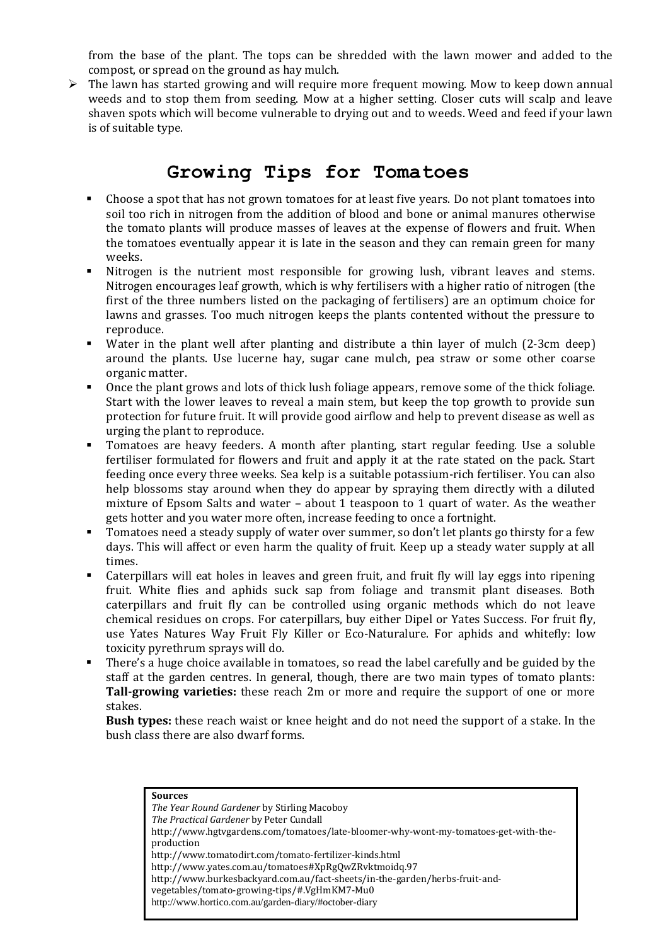from the base of the plant. The tops can be shredded with the lawn mower and added to the compost, or spread on the ground as hay mulch.

 $\triangleright$  The lawn has started growing and will require more frequent mowing. Mow to keep down annual weeds and to stop them from seeding. Mow at a higher setting. Closer cuts will scalp and leave shaven spots which will become vulnerable to drying out and to weeds. Weed and feed if your lawn is of suitable type.

#### **Growing Tips for Tomatoes**

- Choose a spot that has not grown tomatoes for at least five years. Do not plant tomatoes into soil too rich in nitrogen from the addition of blood and bone or animal manures otherwise the tomato plants will produce masses of leaves at the expense of flowers and fruit. When the tomatoes eventually appear it is late in the season and they can remain green for many weeks.
- Nitrogen is the nutrient most responsible for growing lush, vibrant leaves and stems. Nitrogen encourages leaf growth, which is why fertilisers with a higher ratio of nitrogen (the first of the three numbers listed on the packaging of fertilisers) are an optimum choice for lawns and grasses. Too much nitrogen keeps the plants contented without the pressure to reproduce.
- Water in the plant well after planting and distribute a thin layer of mulch (2-3cm deep) around the plants. Use lucerne hay, sugar cane mulch, pea straw or some other coarse organic matter.
- Once the plant grows and lots of thick lush foliage appears, remove some of the thick foliage. Start with the lower leaves to reveal a main stem, but keep the top growth to provide sun protection for future fruit. It will provide good airflow and help to prevent disease as well as urging the plant to reproduce.
- Tomatoes are heavy feeders. A month after planting, start regular feeding. Use a soluble fertiliser formulated for flowers and fruit and apply it at the rate stated on the pack. Start feeding once every three weeks. Sea kelp is a suitable potassium-rich fertiliser. You can also help blossoms stay around when they do appear by spraying them directly with a diluted mixture of Epsom Salts and water – about 1 teaspoon to 1 quart of water. As the weather gets hotter and you water more often, increase feeding to once a fortnight.
- Tomatoes need a steady supply of water over summer, so don't let plants go thirsty for a few days. This will affect or even harm the quality of fruit. Keep up a steady water supply at all times.
- Caterpillars will eat holes in leaves and green fruit, and fruit fly will lay eggs into ripening fruit. White flies and aphids suck sap from foliage and transmit plant diseases. Both caterpillars and fruit fly can be controlled using organic methods which do not leave chemical residues on crops. For caterpillars, buy either Dipel or Yates Success. For fruit fly, use Yates Natures Way Fruit Fly Killer or Eco-Naturalure. For aphids and whitefly: low toxicity pyrethrum sprays will do.
- There's a huge choice available in tomatoes, so read the label carefully and be guided by the staff at the garden centres. In general, though, there are two main types of tomato plants: **Tall-growing varieties:** these reach 2m or more and require the support of one or more stakes.

**Bush types:** these reach waist or knee height and do not need the support of a stake. In the bush class there are also dwarf forms.